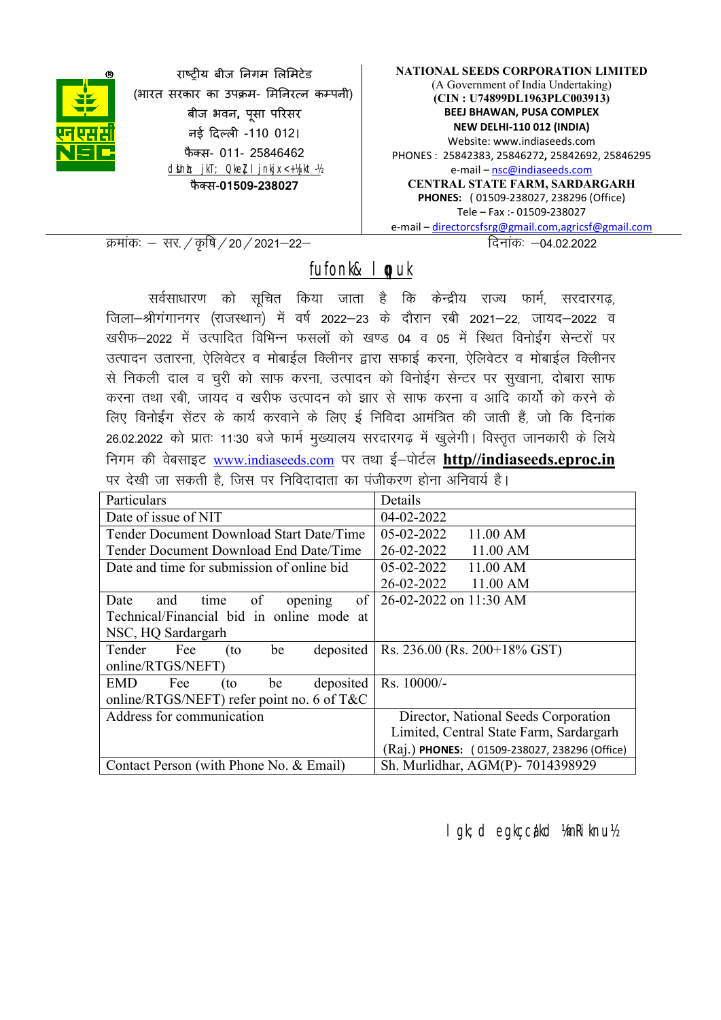

राष्टीय बीज निगम लिमिटेड (भारत सरकार का उपक्रम- मिनिरत्न कम्पनी) बीज भवन, पू सा परसर नई दल -110 012। फैक्स- 011- 25846462 dsUnh; jkT; Qkel I jnkjx<+ 14jkt-12 फैक्स-01509-238027

NATIONAL SEEDS CORPORATION LIMITED (A Government of India Undertaking) (CIN : U74899DL1963PLC003913) BEEJ BHAWAN, PUSA COMPLEX NEW DELHI-110 012 (INDIA) Website: www.indiaseeds.com PHONES : 25842383, 25846272, 25842692, 25846295 e-mail – nsc@indiaseeds.com CENTRAL STATE FARM, SARDARGARH PHONES: ( 01509-238027, 238296 (Office) Tele – Fax :- 01509-238027 e-mail – directorcsfsrg@gmail.com,agricsf@gmail.com

Øekad% & lj-@Ñf"k@20@2021&22& fnukad% &04-02-2022

fufonk& I puk

सर्वसाधारण को सुचित किया जाता है कि केन्द्रीय राज्य फार्म, सरदारगढ़, जिला-श्रीगंगानगर (राजस्थान) में वर्ष 2022-23 के दौरान रबी 2021-22, जायद-2022 व खरीफ–2022 में उत्पादित विभिन्न फसलों को खण्ड 04 व 05 में स्थित विनोईंग सेन्टरों पर उत्पादन उतारना, ऐलिवेटर व मोबाईल क्लिीनर द्वारा सफाई करना, ऐलिवेटर व मोबाईल क्लिीनर से निकली दाल व चूरी को साफ करना, उत्पादन को विनोईग सेन्टर पर सुखाना, दोबारा साफ करना तथा रबी, जायद व खरीफ उत्पादन को झार से साफ करना व आदि कार्यो को करने के लिए विनोईंग सेंटर के कार्य करवाने के लिए ई निविदा आमंत्रित की जाती हैं, जो कि दिनांक 26.02.2022 को प्रातः 11:30 बजे फार्म मुख्यालय सरदारगढ़ में खुलेगी। विस्तृत जानकारी के लिये निगम की वेबसाइट www.indiaseeds.com पर तथा ई-पोर्टल http//indiaseeds.eproc.in पर देखी जा सकती है जिस पर निविदादाता का पंजीकरण होना अनिवार्य है।

| Particulars                                   | Details                                              |  |  |
|-----------------------------------------------|------------------------------------------------------|--|--|
| Date of issue of NIT                          | 04-02-2022                                           |  |  |
| Tender Document Download Start Date/Time      | $05-02-2022$<br>11.00 AM                             |  |  |
| Tender Document Download End Date/Time        | 26-02-2022<br>11.00 AM                               |  |  |
| Date and time for submission of online bid    | 05-02-2022<br>11.00 AM                               |  |  |
|                                               | 26-02-2022<br>11.00 AM                               |  |  |
| of<br>of<br>Date<br>and<br>time<br>opening    | 26-02-2022 on 11:30 AM                               |  |  |
| Technical/Financial bid in online mode at     |                                                      |  |  |
| NSC, HQ Sardargarh                            |                                                      |  |  |
| Tender<br>Fee<br>be<br>deposited<br>(to       | Rs. $236.00$ (Rs. $200+18\%$ GST)                    |  |  |
| online/RTGS/NEFT)                             |                                                      |  |  |
| deposited<br>EMD<br>Fee<br>(to<br>be          | $Rs. 10000/-$                                        |  |  |
| online/RTGS/NEFT) refer point no. 6 of $T\&C$ |                                                      |  |  |
| Address for communication                     | Director, National Seeds Corporation                 |  |  |
|                                               | Limited, Central State Farm, Sardargarh              |  |  |
|                                               | (Raj.) <b>PHONES:</b> (01509-238027, 238296 (Office) |  |  |
| Contact Person (with Phone No. & Email)       | Sh. Murlidhar, AGM(P)- 7014398929                    |  |  |

lgk;d egkçca/kd ¼mRiknu½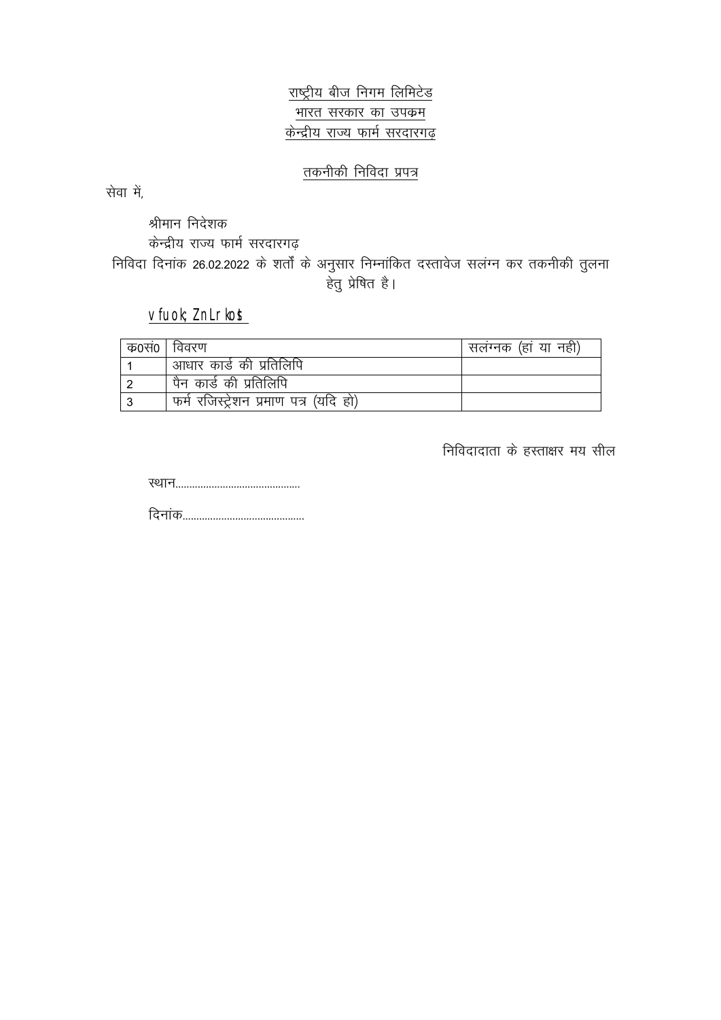राष्ट्रीय बीज निगम लिमिटेड भारत सरकार का उपक्रम केन्द्रीय राज्य फार्म सरदारगढ़

## तकनीकी निविदा प्रपत्र

सेवा में,

श्रीमान निदेशक केन्द्रीय राज्य फार्म सरदारगढ निविदा दिनांक 26.02.2022 के शर्तों के अनुसार निम्नांकित दस्तावेज सलंग्न कर तकनीकी तुलना हेतु प्रेषित है।

## vfuok; *l* nLrkost

| क0स0 | विवरण                                 | सलंग्नक (हां या नही) |
|------|---------------------------------------|----------------------|
|      | ' आधार कार्ड की प्रतिलिपि             |                      |
|      | पैन कार्ड की प्रतिलिपि                |                      |
|      | फर्म रजिस्ट्रेशन प्रमाण पत्र (यदि हो) |                      |

निविदादाता के हस्ताक्षर मय सील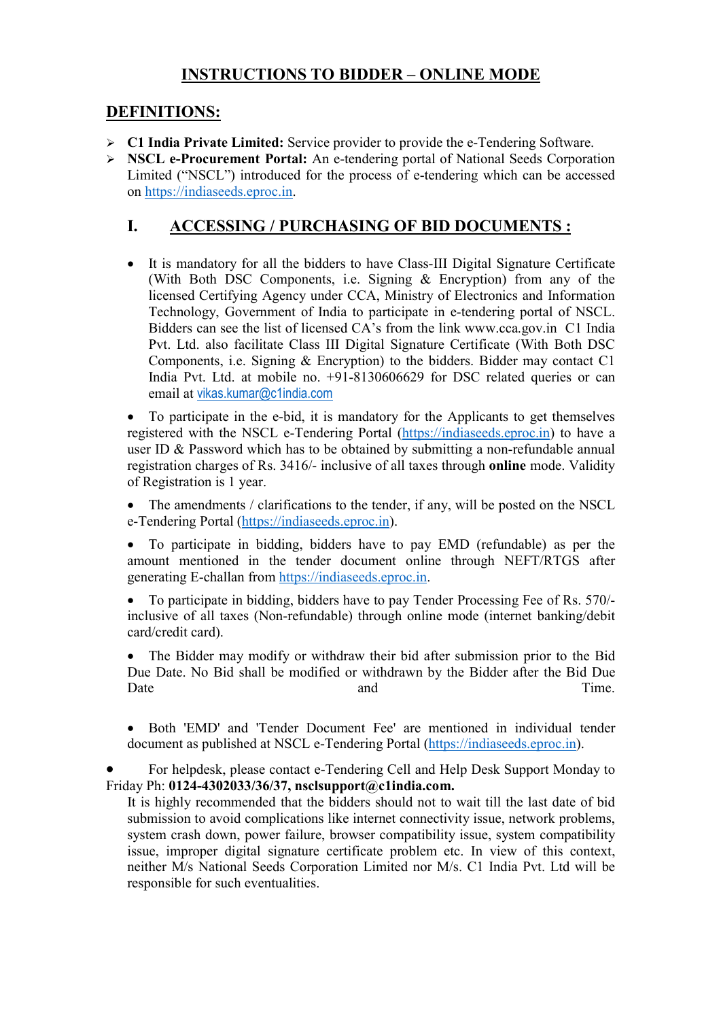## INSTRUCTIONS TO BIDDER – ONLINE MODE

## DEFINITIONS:

- $\geq$  C1 India Private Limited: Service provider to provide the e-Tendering Software.
- NSCL e-Procurement Portal: An e-tendering portal of National Seeds Corporation Limited ("NSCL") introduced for the process of e-tendering which can be accessed on https://indiaseeds.eproc.in.

## I. ACCESSING / PURCHASING OF BID DOCUMENTS :

 It is mandatory for all the bidders to have Class-III Digital Signature Certificate (With Both DSC Components, i.e. Signing & Encryption) from any of the licensed Certifying Agency under CCA, Ministry of Electronics and Information Technology, Government of India to participate in e-tendering portal of NSCL. Bidders can see the list of licensed CA's from the link www.cca.gov.in C1 India Pvt. Ltd. also facilitate Class III Digital Signature Certificate (With Both DSC Components, i.e. Signing  $&$  Encryption) to the bidders. Bidder may contact C1 India Pvt. Ltd. at mobile no. +91-8130606629 for DSC related queries or can email at vikas.kumar@c1india.com

 To participate in the e-bid, it is mandatory for the Applicants to get themselves registered with the NSCL e-Tendering Portal (https://indiaseeds.eproc.in) to have a user ID & Password which has to be obtained by submitting a non-refundable annual registration charges of Rs. 3416/- inclusive of all taxes through online mode. Validity of Registration is 1 year.

• The amendments / clarifications to the tender, if any, will be posted on the NSCL e-Tendering Portal (https://indiaseeds.eproc.in).

 To participate in bidding, bidders have to pay EMD (refundable) as per the amount mentioned in the tender document online through NEFT/RTGS after generating E-challan from https://indiaseeds.eproc.in.

 To participate in bidding, bidders have to pay Tender Processing Fee of Rs. 570/ inclusive of all taxes (Non-refundable) through online mode (internet banking/debit card/credit card).

 The Bidder may modify or withdraw their bid after submission prior to the Bid Due Date. No Bid shall be modified or withdrawn by the Bidder after the Bid Due Date and and Time.

 Both 'EMD' and 'Tender Document Fee' are mentioned in individual tender document as published at NSCL e-Tendering Portal (https://indiaseeds.eproc.in).

 For helpdesk, please contact e-Tendering Cell and Help Desk Support Monday to Friday Ph: 0124-4302033/36/37, nsclsupport@c1india.com.

It is highly recommended that the bidders should not to wait till the last date of bid submission to avoid complications like internet connectivity issue, network problems, system crash down, power failure, browser compatibility issue, system compatibility issue, improper digital signature certificate problem etc. In view of this context, neither M/s National Seeds Corporation Limited nor M/s. C1 India Pvt. Ltd will be responsible for such eventualities.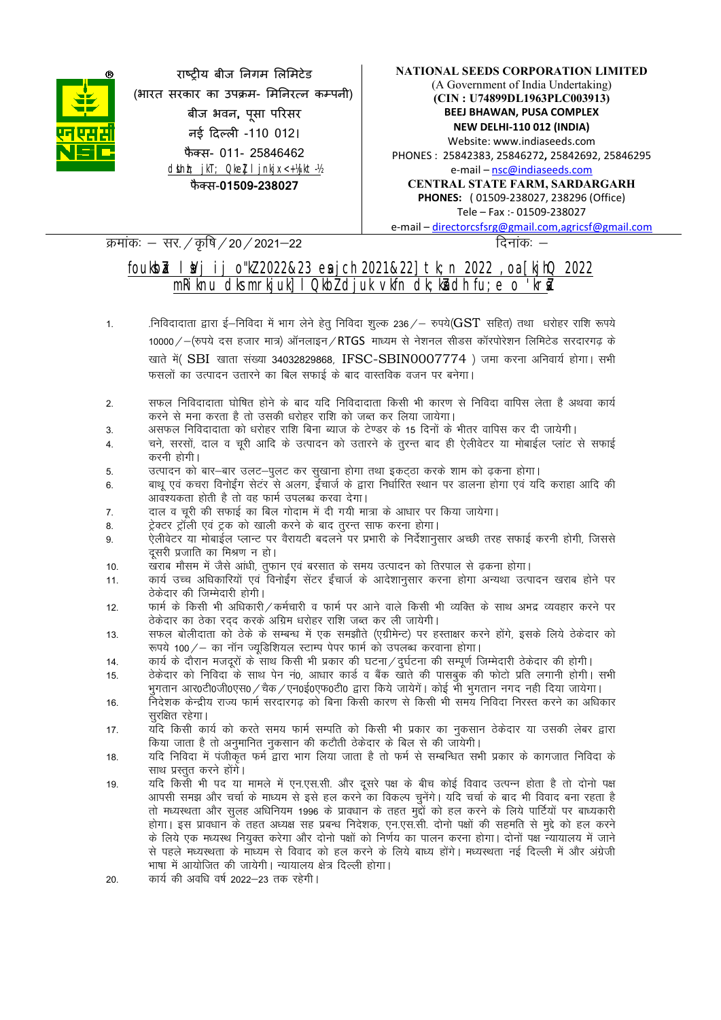

राष्टीय बीज निगम लिमिटेड (भारत सरकार का उपक्रम- मिनिरत्न कम्पनी) बीज भवन, पू सा परसर नई दिल्ली -110 012। फैक्स- 011- 25846462 dsUnh; jkT; Qkel I jnkjx<+ 14jkt-12 फैक्स-01509-238027

#### NATIONAL SEEDS CORPORATION LIMITED (A Government of India Undertaking) (CIN : U74899DL1963PLC003913) BEEJ BHAWAN, PUSA COMPLEX NEW DELHI-110 012 (INDIA) Website: www.indiaseeds.com PHONES : 25842383, 25846272, 25842692, 25846295 e-mail – nsc@indiaseeds.com CENTRAL STATE FARM, SARDARGARH PHONES: ( 01509-238027, 238296 (Office) Tele – Fax :- 01509-238027 e-mail – directorcsfsrg@gmail.com,agricsf@gmail.com

#### क्रमांकः – सर. / कृषि / 20 / 2021–22  $\sqrt{2}$

## foukb $\lambda$  l $\lambda$ j ij o"kZ 2022&23 esich 2021&22] tk;n 2022 ,oa [kjhQ 2022 mRiknu dks mrkjuk] I Qkb $\bar{l}$  djuk vkfn dk;ka dh fu;e o 'kra

- 1. - निविदादाता द्वारा ई–निविदा में भाग लेने हेतु निविदा शुल्क 236 /– रुपये( $\mathrm{GST}$  सहित) तथा धरोहर राशि रूपये 10000 /  $-$ (रुपये दस हजार मात्र) ऑनलाइन / RTGS माध्यम से नेशनल सीडस कॉरपोरेशन लिमिटेड सरदारगढ के खाते में (SBI खाता संख्या 34032829868, IFSC-SBIN0007774) जमा करना अनिवार्य होगा। सभी फसलों का उत्पादन उतारने का बिल सफाई के बाद वास्तविक वजन पर बनेगा।
- 2. सफल निविदादाता घोषित होने के बाद यदि निविदादाता किसी भी कारण से निविदा वापिस लेता है अथवा कार्य करने से मना करता है तो उसकी धरोहर राशि को जब्त कर लिया जायेगा।
- 3. असफल निविदादाता को धरोहर राशि बिना ब्याज के टेण्डर के 15 दिनों के भीतर वापिस कर दी जायेगी।
- 4. वने, सरसों, दाल व चूरी आदि के उत्पादन को उतारने के तुरन्त बाद ही ऐलीवेटर या मोबाईल प्लांट से सफाई करनी होगी।
- 5. उत्पादन को बार-बार उलट-पूलट कर सुखाना होगा तथा इकट़ठा करके शाम को ढ़कना होगा।
- 6- ckFkw ,oa dpjk fouksbZax lsVaj ls vyx] bZapktZ ds }kjk fu/kkZfjr LFkku ij Mkyuk gksxk ,oa ;fn djkgk vkfn dh आवश्यकता होती है तो वह फार्म उपलब्ध करवा देगा।
- 7. वाल व चूरी की सफाई का बिल गोदाम में दी गयी मात्रा के आधार पर किया जायेगा।
- 8. ट्रेक्टर ट्रॉली एवं ट्रक को खाली करने के बाद तुरन्त साफ करना होगा।
- 9. ऐलीवेटर या मोबाईल प्लान्ट पर वैरायटी बदलने पर प्रभारी के निर्देशानुसार अच्छी तरह सफाई करनी होगी, जिससे दसरी प्रजाति का मिश्रण न हो।
- 10. खराब मौसम में जैसे आंधी, तुफान एवं बरसात के समय उत्पादन को तिरपाल से ढ़कना होगा।
- 11. कार्य उच्च अधिकारियों एवं विनोईंग सेंटर ईंचार्ज के आदेशानुसार करना होगा अन्यथा उत्पादन खराब होने पर ठेकेदार की जिम्मेदारी होगी।
- 12. प्रार्म के किसी भी अधिकारी/कर्मचारी व फार्म पर आने वाले किसी भी व्यक्ति के साथ अभद्र व्यवहार करने पर ठेकेदार का ठेका रदद करके अग्रिम धरोहर राशि जब्त कर ली जायेगी।
- 13. सफल बोलीदाता को ठेके के सम्बन्ध में एक समझौते (एग्रीमेन्ट) पर हस्ताक्षर करने होंगे, इसके लिये ठेकेदार को रूपये 100/ – का नॉन ज्यूडिशियल स्टाम्प पेपर फार्म को उपलब्ध करवाना होगा।
- 14. व्यार्थ के दौरान मजदूरों के साथ किसी भी प्रकार की घटना / दुर्घटना की सम्पूर्ण जिम्मेदारी ठेकेदार की होगी।
- 15. विकेदार को निविदा के साथ पेन नं0, आधार कार्ड व बैंक खाते की पासबुक की फोटो प्रति लगानी होगी। सभी भूगतान आर0टी0जी0एस0 / चैक / एन0ई0एफ0टी0 द्वारा किये जायेगें। कोई भी भूगतान नगद नही दिया जायेगा।
- 16. निदेशक केन्द्रीय राज्य फार्म सरदारगढ को बिना किसी कारण से किसी भी समय निविदा निरस्त करने का अधिकार सरक्षित रहेगा।
- 17. यदि किसी कार्य को करते समय फार्म सम्पति को किसी भी प्रकार का नकसान ठेकेदार या उसकी लेबर द्वारा किया जाता है तो अनुमानित नुकसान की कटौती ठेकेदार के बिल से की जायेगी।
- 18. यदि निविदा में पंजीकृत फर्म द्वारा भाग लिया जाता है तो फर्म से सम्बन्धित सभी प्रकार के कागजात निविदा के साथ प्रस्तुत करने होंगें।
- 19. यदि किसी भी पद या मामले में एन.एस.सी. और दूसरे पक्ष के बीच कोई विवाद उत्पन्न होता है तो दोनो पक्ष आपसी समझ और चर्चा के माध्यम से इसे हल करने का विकल्प चुनेंगे। यदि चर्चा के बाद भी विवाद बना रहता है तो मध्यस्थता और सुलह अधिनियम 1996 के प्रावधान के तहत मुद्दों को हल करने के लिये पार्टियों पर बाध्यकारी होगा। इस प्रावधान के तहत अध्यक्ष सह प्रबन्ध निदेशक, एन.एस.सी. दोनो पक्षों की सहमति से मुद्दे को हल करने के लिये एक मध्यस्थ नियुक्त करेगा और दोनो पक्षों को निर्णय का पालन करना होगा। दोनों पक्ष न्यायालय में जाने से पहले मध्यस्थता के माध्यम से विवाद को हल करने के लिये बाध्य होंगे। मध्यस्थता नई दिल्ली में और अंग्रेजी भाषा में आयोजित की जायेगी। न्यायालय क्षेत्र दिल्ली होगा।
- 20. कार्य की अवधि वर्ष 2022-23 तक रहेगी।